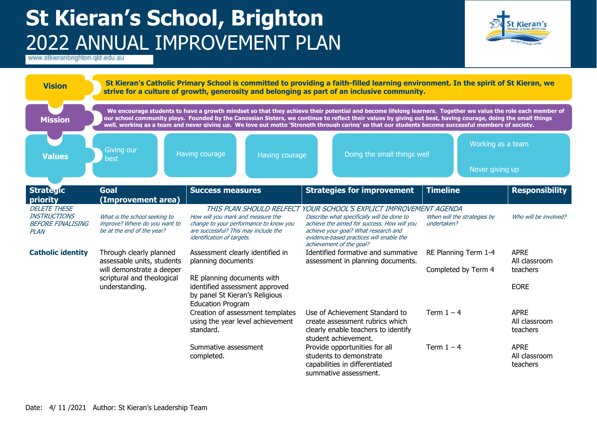## **St Kieran's School, Brighton** 2022 ANNUAL IMPROVEMENT PLAN



| <b>Vision</b>                                                  |                                                                                                                                    |                                                                                                                                                                                      | St Kieran's Catholic Primary School is committed to providing a faith-filled learning environment. In the spirit of St Kieran, we<br>strive for a culture of growth, generosity and belonging as part of an inclusive community.                                                                                                                                                                                                                                                   |                                             |                                                         |
|----------------------------------------------------------------|------------------------------------------------------------------------------------------------------------------------------------|--------------------------------------------------------------------------------------------------------------------------------------------------------------------------------------|------------------------------------------------------------------------------------------------------------------------------------------------------------------------------------------------------------------------------------------------------------------------------------------------------------------------------------------------------------------------------------------------------------------------------------------------------------------------------------|---------------------------------------------|---------------------------------------------------------|
| <b>Mission</b>                                                 |                                                                                                                                    |                                                                                                                                                                                      | We encourage students to have a growth mindset so that they achieve their potential and become lifelong learners. Together we value the role each member of<br>our school community plays. Founded by the Canossian Sisters, we continue to reflect their values by giving out best, having courage, doing the small things<br>well, working as a team and never giving up. We love out motto 'Strength through caring' so that our students become successful members of society. |                                             |                                                         |
| <b>Values</b>                                                  | Giving our<br>best                                                                                                                 | Having courage<br>Having courage                                                                                                                                                     | Doing the small things well                                                                                                                                                                                                                                                                                                                                                                                                                                                        | Working as a team<br>Never giving up        |                                                         |
| <b>Strategic</b><br>priority                                   | <b>Goal</b><br>(Improvement area)                                                                                                  | <b>Success measures</b>                                                                                                                                                              | <b>Strategies for improvement</b>                                                                                                                                                                                                                                                                                                                                                                                                                                                  | <b>Timeline</b>                             | <b>Responsibility</b>                                   |
| <b>DELETE THESE</b>                                            |                                                                                                                                    |                                                                                                                                                                                      | THIS PLAN SHOULD RELFECT YOUR SCHOOL'S EXPLICT IMPROVEMENT AGENDA                                                                                                                                                                                                                                                                                                                                                                                                                  |                                             |                                                         |
| <b>INSTRUCTIONS</b><br><b>BEFORE FINALISING</b><br><b>PLAN</b> | What is the school seeking to<br>improve? Where do you want to<br>be at the end of the year?                                       | How will you mark and measure the<br>change to your performance to know you<br>are successful? This may include the<br>identification of targets.                                    | Describe what specifically will be done to<br>achieve the aimed for success. How will you<br>achieve your goal? What research and<br>evidence-based practices will enable the<br>achievement of the goal?                                                                                                                                                                                                                                                                          | When will the strategies by<br>undertaken?  | Who will be involved?                                   |
| <b>Catholic identity</b>                                       | Through clearly planned<br>assessable units, students<br>will demonstrate a deeper<br>scriptural and theological<br>understanding. | Assessment clearly identified in<br>planning documents<br>RE planning documents with<br>identified assessment approved<br>by panel St Kieran's Religious<br><b>Education Program</b> | Identified formative and summative<br>assessment in planning documents.                                                                                                                                                                                                                                                                                                                                                                                                            | RE Planning Term 1-4<br>Completed by Term 4 | <b>APRE</b><br>All classroom<br>teachers<br><b>EORE</b> |
|                                                                |                                                                                                                                    | Creation of assessment templates<br>using the year level achievement<br>standard.                                                                                                    | Use of Achievement Standard to<br>create assessment rubrics which<br>clearly enable teachers to identify<br>student achievement.                                                                                                                                                                                                                                                                                                                                                   | Term $1 - 4$                                | <b>APRE</b><br>All classroom<br>teachers                |
|                                                                |                                                                                                                                    | Summative assessment<br>completed.                                                                                                                                                   | Provide opportunities for all<br>students to demonstrate<br>capabilities in differentiated<br>summative assessment.                                                                                                                                                                                                                                                                                                                                                                | Term $1 - 4$                                | <b>APRE</b><br>All classroom<br>teachers                |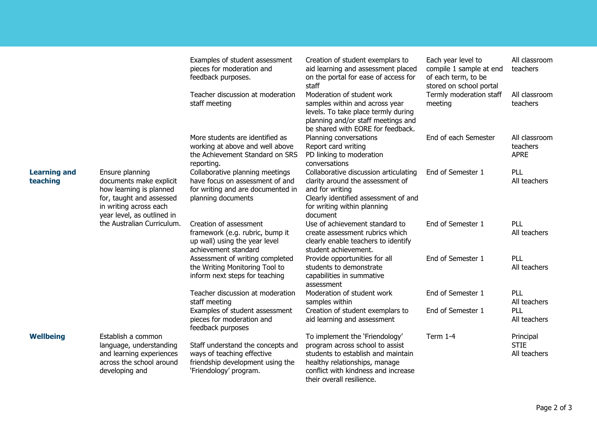|                                 |                                                                                                                                                           | Examples of student assessment<br>pieces for moderation and<br>feedback purposes.                                             | Creation of student exemplars to<br>aid learning and assessment placed<br>on the portal for ease of access for<br>staff                                                                                      | Each year level to<br>compile 1 sample at end<br>of each term, to be<br>stored on school portal | All classroom<br>teachers                |
|---------------------------------|-----------------------------------------------------------------------------------------------------------------------------------------------------------|-------------------------------------------------------------------------------------------------------------------------------|--------------------------------------------------------------------------------------------------------------------------------------------------------------------------------------------------------------|-------------------------------------------------------------------------------------------------|------------------------------------------|
|                                 |                                                                                                                                                           | Teacher discussion at moderation<br>staff meeting                                                                             | Moderation of student work<br>samples within and across year<br>levels. To take place termly during<br>planning and/or staff meetings and<br>be shared with EORE for feedback.                               | Termly moderation staff<br>meeting                                                              | All classroom<br>teachers                |
|                                 |                                                                                                                                                           | More students are identified as<br>working at above and well above<br>the Achievement Standard on SRS<br>reporting.           | Planning conversations<br>Report card writing<br>PD linking to moderation<br>conversations                                                                                                                   | End of each Semester                                                                            | All classroom<br>teachers<br><b>APRE</b> |
| <b>Learning and</b><br>teaching | Ensure planning<br>documents make explicit<br>how learning is planned<br>for, taught and assessed<br>in writing across each<br>year level, as outlined in | Collaborative planning meetings<br>have focus on assessment of and<br>for writing and are documented in<br>planning documents | Collaborative discussion articulating<br>clarity around the assessment of<br>and for writing<br>Clearly identified assessment of and<br>for writing within planning<br>document                              | End of Semester 1                                                                               | PLL<br>All teachers                      |
|                                 | the Australian Curriculum.                                                                                                                                | Creation of assessment<br>framework (e.g. rubric, bump it<br>up wall) using the year level<br>achievement standard            | Use of achievement standard to<br>create assessment rubrics which<br>clearly enable teachers to identify<br>student achievement.                                                                             | End of Semester 1                                                                               | PLL<br>All teachers                      |
|                                 |                                                                                                                                                           | Assessment of writing completed<br>the Writing Monitoring Tool to<br>inform next steps for teaching                           | Provide opportunities for all<br>students to demonstrate<br>capabilities in summative<br>assessment                                                                                                          | End of Semester 1                                                                               | PLL<br>All teachers                      |
|                                 |                                                                                                                                                           | Teacher discussion at moderation<br>staff meeting                                                                             | Moderation of student work<br>samples within                                                                                                                                                                 | End of Semester 1                                                                               | PLL<br>All teachers                      |
|                                 |                                                                                                                                                           | Examples of student assessment<br>pieces for moderation and<br>feedback purposes                                              | Creation of student exemplars to<br>aid learning and assessment                                                                                                                                              | End of Semester 1                                                                               | PLL<br>All teachers                      |
| <b>Wellbeing</b>                | Establish a common<br>language, understanding<br>and learning experiences<br>across the school around<br>developing and                                   | Staff understand the concepts and<br>ways of teaching effective<br>friendship development using the<br>'Friendology' program. | To implement the 'Friendology'<br>program across school to assist<br>students to establish and maintain<br>healthy relationships, manage<br>conflict with kindness and increase<br>their overall resilience. | Term $1-4$                                                                                      | Principal<br><b>STIE</b><br>All teachers |